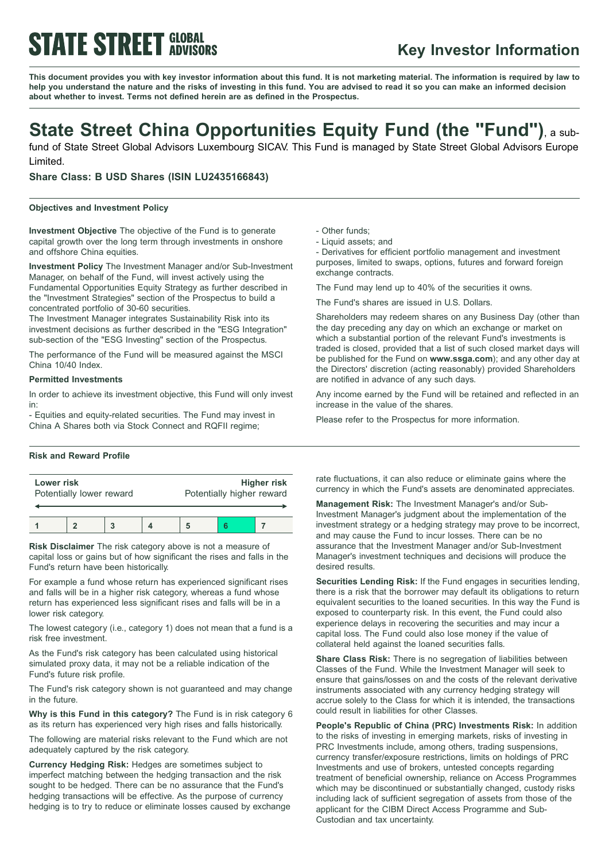# **STATE STREET GLOBAL**

### **Key Investor Information**

This document provides you with key investor information about this fund. It is not marketing material. The information is required by law to help you understand the nature and the risks of investing in this fund. You are advised to read it so you can make an informed decision **about whether to invest. Terms not defined herein are as defined in the Prospectus.**

### **State Street China Opportunities Equity Fund (the "Fund")**, <sup>a</sup> sub-

fund of State Street Global Advisors Luxembourg SICAV. This Fund is managed by State Street Global Advisors Europe Limited.

**Share Class: B USD Shares (ISIN LU2435166843)**

#### **Objectives and Investment Policy**

**Investment Objective** The objective of the Fund is to generate capital growth over the long term through investments in onshore and offshore China equities.

**Investment Policy** The Investment Manager and/or Sub-Investment Manager, on behalf of the Fund, will invest actively using the Fundamental Opportunities Equity Strategy as further described in the "Investment Strategies" section of the Prospectus to build a concentrated portfolio of 30-60 securities.

The Investment Manager integrates Sustainability Risk into its investment decisions as further described in the "ESG Integration" sub-section of the "ESG Investing" section of the Prospectus.

The performance of the Fund will be measured against the MSCI China 10/40 Index.

#### **Permitted Investments**

In order to achieve its investment objective, this Fund will only invest in:

- Equities and equity-related securities. The Fund may invest in China A Shares both via Stock Connect and RQFII regime;

#### **Risk and Reward Profile**

| Lower risk<br>Potentially lower reward |  |  | <b>Higher risk</b><br>Potentially higher reward |  |  |
|----------------------------------------|--|--|-------------------------------------------------|--|--|
|                                        |  |  |                                                 |  |  |

**Risk Disclaimer** The risk category above is not a measure of capital loss or gains but of how significant the rises and falls in the Fund's return have been historically.

For example a fund whose return has experienced significant rises and falls will be in a higher risk category, whereas a fund whose return has experienced less significant rises and falls will be in a lower risk category.

The lowest category (i.e., category 1) does not mean that a fund is a risk free investment.

As the Fund's risk category has been calculated using historical simulated proxy data, it may not be a reliable indication of the Fund's future risk profile.

The Fund's risk category shown is not guaranteed and may change in the future.

**Why is this Fund in this category?** The Fund is in risk category 6 as its return has experienced very high rises and falls historically.

The following are material risks relevant to the Fund which are not adequately captured by the risk category.

**Currency Hedging Risk:** Hedges are sometimes subject to imperfect matching between the hedging transaction and the risk sought to be hedged. There can be no assurance that the Fund's hedging transactions will be effective. As the purpose of currency hedging is to try to reduce or eliminate losses caused by exchange - Other funds;

- Liquid assets; and

- Derivatives for efficient portfolio management and investment purposes, limited to swaps, options, futures and forward foreign exchange contracts.

The Fund may lend up to 40% of the securities it owns.

The Fund's shares are issued in U.S. Dollars.

Shareholders may redeem shares on any Business Day (other than the day preceding any day on which an exchange or market on which a substantial portion of the relevant Fund's investments is traded is closed, provided that a list of such closed market days will be published for the Fund on **www.ssga.com**); and any other day at the Directors' discretion (acting reasonably) provided Shareholders are notified in advance of any such days.

Any income earned by the Fund will be retained and reflected in an increase in the value of the shares.

Please refer to the Prospectus for more information.

rate fluctuations, it can also reduce or eliminate gains where the currency in which the Fund's assets are denominated appreciates.

**Management Risk:** The Investment Manager's and/or Sub-Investment Manager's judgment about the implementation of the investment strategy or a hedging strategy may prove to be incorrect, and may cause the Fund to incur losses. There can be no assurance that the Investment Manager and/or Sub-Investment Manager's investment techniques and decisions will produce the desired results.

**Securities Lending Risk:** If the Fund engages in securities lending, there is a risk that the borrower may default its obligations to return equivalent securities to the loaned securities. In this way the Fund is exposed to counterparty risk. In this event, the Fund could also experience delays in recovering the securities and may incur a capital loss. The Fund could also lose money if the value of collateral held against the loaned securities falls.

**Share Class Risk:** There is no segregation of liabilities between Classes of the Fund. While the Investment Manager will seek to ensure that gains/losses on and the costs of the relevant derivative instruments associated with any currency hedging strategy will accrue solely to the Class for which it is intended, the transactions could result in liabilities for other Classes.

**People's Republic of China (PRC) Investments Risk:** In addition to the risks of investing in emerging markets, risks of investing in PRC Investments include, among others, trading suspensions, currency transfer/exposure restrictions, limits on holdings of PRC Investments and use of brokers, untested concepts regarding treatment of beneficial ownership, reliance on Access Programmes which may be discontinued or substantially changed, custody risks including lack of sufficient segregation of assets from those of the applicant for the CIBM Direct Access Programme and Sub-Custodian and tax uncertainty.